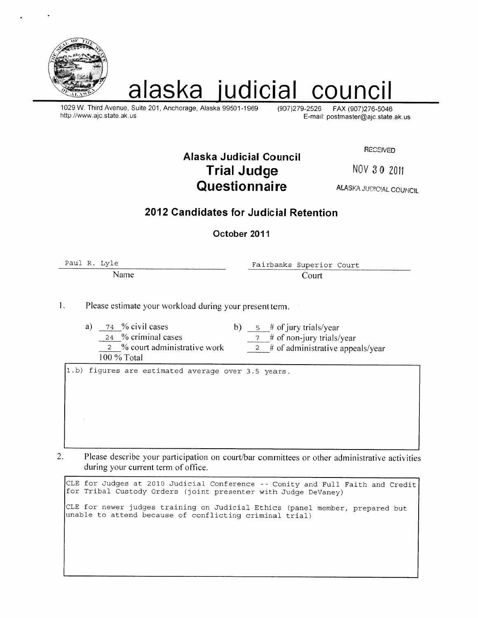

# alaska judicial council

1029 W. Third Avenue, Suite 201, Anchorage, Alaska 99501-1969 http://www.ajc.state.ak.us

(907) 279-2526 FAX (907) 276-5046 E-mail: postmaster@ajc.state.ak.us

**RECEIVED** 

Alaska Judicial Council **Trial Judge** Questionnaire

NOV 30 2011

**ALASKA JUDICIAL COUNCIL** 

## 2012 Candidates for Judicial Refention

October 2011

Paul R. Lyle

Name

Fairbanks Superior Court Court

 $\mathbf{L}$ Please estimate your workload during your present term.

74 % civil cases a) b)  $5 \#$  of jury trials/year 24 % criminal cases  $7$  # of non-jury trials/year 2 % court administrative work  $2 \#$  of administrative appeals/year 100 % Total

1.b) figures are estimated average over 3.5 years.

2. Please describe your participation on court/bar committees or other administrative activities during your current term of office.

CLE for Judges at 2010 Judicial Conference -- Comity and Full Faith and Credit for Tribal Custody Orders (joint presenter with Judge DeVaney) CLE for newer judges training on Judicial Ethics (panel member, prepared but unable to attend because of conflicting criminal trial)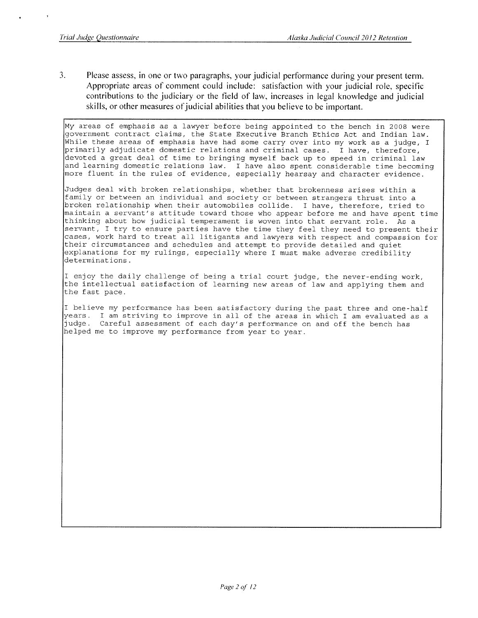$\overline{3}$ . Please assess, in one or two paragraphs, your judicial performance during your present term. Appropriate areas of comment could include: satisfaction with your judicial role, specific contributions to the judiciary or the field of law, increases in legal knowledge and judicial skills, or other measures of judicial abilities that you believe to be important.

My areas of emphasis as a lawyer before being appointed to the bench in 2008 were government contract claims, the State Executive Branch Ethics Act and Indian law. While these areas of emphasis have had some carry over into my work as a judge, I primarily adjudicate domestic relations and criminal cases. I have, therefore, devoted a great deal of time to bringing myself back up to speed in criminal law and learning domestic relations law. I have also spent considerable time becoming<br>more fluent in the rules of evidence, especially hearsay and character evidence.

Judges deal with broken relationships, whether that brokenness arises within a family or between an individual and society or between strangers thrust into a broken relationship when their automobiles collide. I have, therefore, tried to maintain a servant's attitude toward those who appear before me and have spent time thinking about how judicial temperament is woven into that servant role. As a servant, I try to ensure parties have the time they feel they need to present their cases, work hard to treat all litigants and lawyers with respect and compassion for their circumstances and schedules and attempt to provide detailed and quiet explanations for my rulings, especially where I must make adverse credibility determinations.

I enjoy the daily challenge of being a trial court judge, the never-ending work, the intellectual satisfaction of learning new areas of law and applying them and the fast pace.

I believe my performance has been satisfactory during the past three and one-half years. I am striving to improve in all of the areas in which I am evaluated as a judge. Careful assessment of each day's performance on and off the bench has helped me to improve my performance from year to year.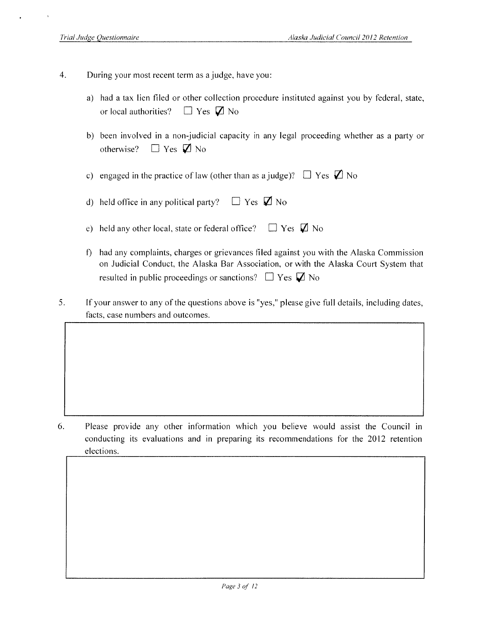- $\overline{4}$ . During your most recent term as a judge, have you:
	- a) had a tax lien filed or other collection procedure instituted against you by federal, state,  $\Box$  Yes  $\Box$  No or local authorities?
	- b) been involved in a non-judicial capacity in any legal proceeding whether as a party or  $\Box$  Yes  $\Box$  No otherwise?
	- c) engaged in the practice of law (other than as a judge)?  $\Box$  Yes  $\Box$  No
	- $\Box$  Yes  $\Box$  No d) held office in any political party?
	- $\Box$  Yes  $\Box$  No e) held any other local, state or federal office?
	- f) had any complaints, charges or grievances filed against you with the Alaska Commission on Judicial Conduct, the Alaska Bar Association, or with the Alaska Court System that resulted in public proceedings or sanctions?  $\Box$  Yes  $\Box$  No
- 5. If your answer to any of the questions above is "yes," please give full details, including dates, facts, case numbers and outcomes.

6. Please provide any other information which you believe would assist the Council in conducting its evaluations and in preparing its recommendations for the 2012 retention elections.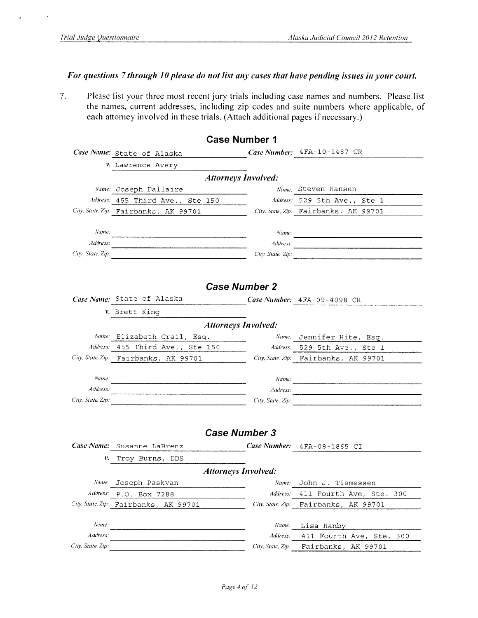### For questions 7 through 10 please do not list any cases that have pending issues in your court.

Please list your three most recent jury trials including case names and numbers. Please list  $7.$ the names, current addresses, including zip codes and suite numbers where applicable, of each attorney involved in these trials. (Attach additional pages if necessary.)

|                   |                                          | <b>Case Number 1</b>       |                                       |
|-------------------|------------------------------------------|----------------------------|---------------------------------------|
|                   | Case Name: State of Alaska               |                            | Case Number: 4FA-10-1487 CR           |
|                   | v. Lawrence Avery                        |                            |                                       |
|                   |                                          | <b>Attorneys Involved:</b> |                                       |
|                   | Name: Joseph Dallaire                    |                            | Name: Steven Hansen                   |
|                   | Address: 455 Third Ave., Ste 150         |                            | Address: 529 5th Ave., Ste 1          |
|                   | City. State. Zip: Fairbanks, AK 99701    |                            | City, State, Zip: Fairbanks, AK 99701 |
|                   |                                          |                            |                                       |
| Name:             |                                          |                            |                                       |
|                   | Address:                                 |                            |                                       |
|                   | City, State, Zip: $\qquad \qquad \qquad$ |                            | City, State, Zip:                     |
|                   |                                          |                            |                                       |
|                   |                                          |                            |                                       |
|                   |                                          | <b>Case Number 2</b>       |                                       |
|                   | Case Name: State of Alaska               |                            | Case Number: 4FA-09-4098 CR           |
|                   | v. Brett King                            |                            |                                       |
|                   |                                          | <b>Attorneys Involved:</b> |                                       |
|                   | Name: Elizabeth Crail, Esq.              |                            | Name: Jennifer Hite, Esq.             |
|                   | Address: 455 Third Ave., Ste 150         |                            | Address: 529 5th Ave., Ste 1          |
|                   | City. State. Zip: Fairbanks, AK 99701    |                            | City State, Zip: Fairbanks, AK 99701  |
|                   |                                          |                            |                                       |
| Name:             |                                          |                            |                                       |
| Address:          |                                          |                            | Address:                              |
| City, State, Zip: |                                          |                            | City, State, Zip:                     |
|                   |                                          |                            |                                       |
|                   |                                          | <b>Case Number 3</b>       |                                       |
|                   | Case Name: Susanne LaBrenz               |                            | Case Number: $4FA-08-1865$ CI         |
|                   | V. Troy Burns, DDS                       |                            |                                       |
|                   |                                          | <b>Attorneys Involved:</b> |                                       |
|                   | Name: Joseph Paskvan                     | Name:                      | John J. Tiemessen                     |
| Address:          | P.O. Box 7288                            | Address:                   | 411 Fourth Ave, Ste.<br>300           |
|                   | City, State, Zip: Fairbanks, AK 99701    | City, State, Zip:          | Fairbanks,<br>AK 99701                |
|                   |                                          |                            |                                       |
| Name:             |                                          | Name.                      | Lisa Hanby                            |
| Address:          |                                          | Address:                   | 411 Fourth Ave,<br>Ste.<br>300        |
| City, State, Zip: |                                          | City, State, Zip:          | Fairbanks,<br>AK 99701                |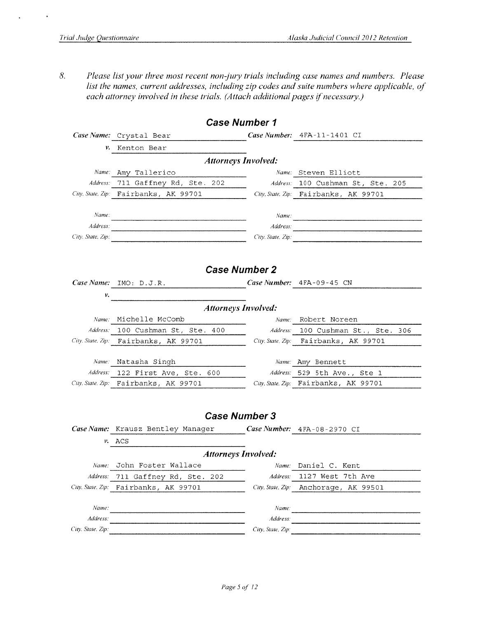$\ddot{\phantom{0}}$ 

8. Please list your three most recent non-jury trials including case names and numbers. Please list the names, current addresses, including zip codes and suite numbers where applicable, of each attorney involved in these trials. (Attach additional pages if necessary.)

|                            | <b>Case Number 1</b>                                                |                   |                                                              |  |  |  |  |  |  |  |  |
|----------------------------|---------------------------------------------------------------------|-------------------|--------------------------------------------------------------|--|--|--|--|--|--|--|--|
|                            | Case Name: Crystal Bear                                             | Case Number:      | 4FA-11-1401 CI                                               |  |  |  |  |  |  |  |  |
| ν.                         | Kenton Bear                                                         |                   |                                                              |  |  |  |  |  |  |  |  |
|                            | <b>Attorneys Involved:</b>                                          |                   |                                                              |  |  |  |  |  |  |  |  |
| Name:                      | Amy Tallerico                                                       | Name:             | Steven Elliott                                               |  |  |  |  |  |  |  |  |
| Address:                   | 711 Gaffney Rd, Ste. 202                                            |                   | Address: 100 Cushman St, Ste. 205                            |  |  |  |  |  |  |  |  |
|                            | City, State, Zip: Fairbanks, AK 99701                               |                   | City, State, Zip: Fairbanks, AK 99701                        |  |  |  |  |  |  |  |  |
|                            |                                                                     |                   |                                                              |  |  |  |  |  |  |  |  |
| Name:                      | <u> 1980 - Johann Barnett, fransk politik (d. 1980)</u>             | Name:             |                                                              |  |  |  |  |  |  |  |  |
| Address:                   |                                                                     | Address:          | <u>.</u><br>1980 - Johann Barnett, fransk politiker († 1908) |  |  |  |  |  |  |  |  |
| City, State, Zip:          | <u> 1980 - Johann John Stein, marwolaeth a bhann an t-</u>          | City, State, Zip: |                                                              |  |  |  |  |  |  |  |  |
|                            |                                                                     |                   |                                                              |  |  |  |  |  |  |  |  |
|                            |                                                                     |                   |                                                              |  |  |  |  |  |  |  |  |
| <b>Case Number 2</b>       |                                                                     |                   |                                                              |  |  |  |  |  |  |  |  |
|                            | Case Name: $IMO: D.J.R.$<br><u> 1990 - Johann Barbara, martin e</u> |                   | Case Number: $4FA-09-45$ CN                                  |  |  |  |  |  |  |  |  |
| ν.                         |                                                                     |                   |                                                              |  |  |  |  |  |  |  |  |
| <b>Attorneys Involved:</b> |                                                                     |                   |                                                              |  |  |  |  |  |  |  |  |
|                            | Name: Michelle McComb                                               | Name:             | Robert Noreen                                                |  |  |  |  |  |  |  |  |
|                            | Address: 100 Cushman St, Ste. 400                                   | Address:          | 100 Cushman St., Ste. 306                                    |  |  |  |  |  |  |  |  |
|                            | City, State, Zip: Fairbanks, AK 99701                               |                   | City. State. Zip: Fairbanks, AK 99701                        |  |  |  |  |  |  |  |  |
|                            |                                                                     |                   |                                                              |  |  |  |  |  |  |  |  |
|                            | Name: Natasha Singh                                                 |                   | Name: Amy Bennett                                            |  |  |  |  |  |  |  |  |
|                            | Address: 122 First Ave, Ste. 600                                    |                   | Address: 529 5th Ave., Ste 1                                 |  |  |  |  |  |  |  |  |
|                            | City. State. Zip: Fairbanks, AK 99701                               |                   | City, State, Zip: Fairbanks, AK 99701                        |  |  |  |  |  |  |  |  |
|                            |                                                                     |                   |                                                              |  |  |  |  |  |  |  |  |
|                            |                                                                     |                   |                                                              |  |  |  |  |  |  |  |  |
|                            | <b>Case Number 3</b>                                                |                   |                                                              |  |  |  |  |  |  |  |  |
|                            | Case Name: Krausz Bentley Manager                                   |                   | Case Number: 4FA-08-2970 CI                                  |  |  |  |  |  |  |  |  |
|                            | v. ACS                                                              |                   |                                                              |  |  |  |  |  |  |  |  |
|                            | <b>Attorneys Involved:</b>                                          |                   |                                                              |  |  |  |  |  |  |  |  |
|                            | Name: John Foster Wallace                                           |                   | <i>Name:</i> Daniel C. Kent                                  |  |  |  |  |  |  |  |  |
| Address:                   | 711 Gaffney Rd, Ste.<br>202                                         | Address:          | 1127 West 7th Ave                                            |  |  |  |  |  |  |  |  |
| City, State, Zip:          | Fairbanks, AK 99701                                                 | City, State, Zip: | Anchorage, AK 99501                                          |  |  |  |  |  |  |  |  |
|                            |                                                                     |                   |                                                              |  |  |  |  |  |  |  |  |
| Name:                      |                                                                     | Name:             |                                                              |  |  |  |  |  |  |  |  |
| Address:                   |                                                                     | Address:          |                                                              |  |  |  |  |  |  |  |  |
| City, State, Zip:          |                                                                     | City, State, Zip: |                                                              |  |  |  |  |  |  |  |  |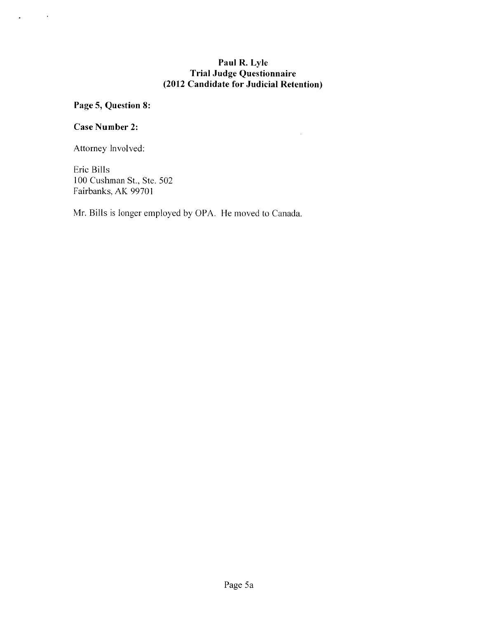## Paul R. Lyle **Trial Judge Questionnaire** (2012 Candidate for Judicial Retention)

 $\bar{\mathcal{L}}$ 

## Page 5, Question 8:

## Case Number 2:

 $\mathcal{L}^{\text{max}}_{\text{max}}$ 

 $\ddot{\bullet}$ 

Attorney Involved:

Eric Bills 100 Cushman St., Ste. 502 Fairbanks, AK 99701

Mr. Bills is longer employed by OPA. He moved to Canada.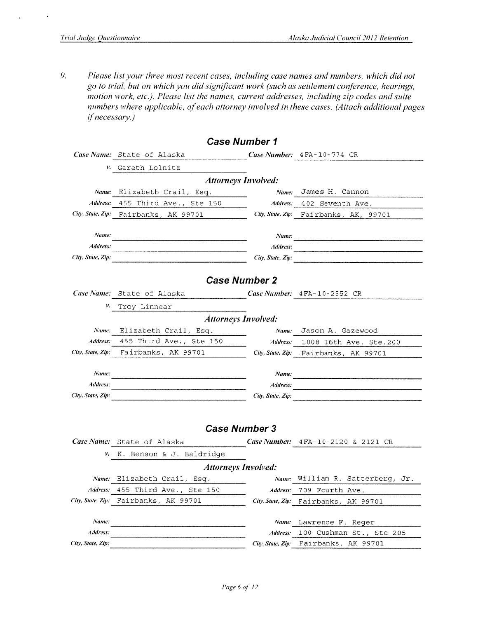$\ddot{\phantom{a}}$ 

9. Please list your three most recent cases, including case names and numbers, which did not go to trial, but on which you did significant work (such as settlement conference, hearings, motion work, etc.). Please list the names, current addresses, including zip codes and suite numbers where applicable, of each attorney involved in these cases. (Attach additional pages if necessary.)

|                   | <b>Case Number 1</b>                            |                   |                                                                                                                       |
|-------------------|-------------------------------------------------|-------------------|-----------------------------------------------------------------------------------------------------------------------|
|                   | Case Name: State of Alaska                      |                   | Case Number: 4FA-10-774 CR                                                                                            |
| ν.                | Gareth Lolnitz                                  |                   |                                                                                                                       |
|                   | <b>Attorneys Involved:</b>                      |                   |                                                                                                                       |
| Name:             | Elizabeth Crail, Esq.                           | Name:             | James H. Cannon                                                                                                       |
| Address:          | 455 Third Ave., Ste 150                         | Address:          | 402 Seventh Ave.                                                                                                      |
|                   | City, State, Zip: Fairbanks, AK 99701           |                   | City, State, Zip: Fairbanks, AK, 99701                                                                                |
|                   |                                                 |                   |                                                                                                                       |
| Name:             |                                                 | Name:             |                                                                                                                       |
| Address:          |                                                 | Address:          |                                                                                                                       |
| City, State, Zip: | <u> 1989 - Johann John Stone, mars et al. (</u> | City, State, Zip: |                                                                                                                       |
|                   |                                                 |                   |                                                                                                                       |
|                   | <b>Case Number 2</b>                            |                   |                                                                                                                       |
|                   | Case Name: State of Alaska                      |                   | Case Number: $4FA-10-2552$ CR                                                                                         |
| ν.                | Troy Linnear                                    |                   |                                                                                                                       |
|                   | <b>Attorneys Involved:</b>                      |                   |                                                                                                                       |
| Name:             | Elizabeth Crail, Esq.                           | Name:             | Jason A. Gazewood                                                                                                     |
| Address:          | 455 Third Ave., Ste 150                         | Address:          | 1008 16th Ave. Ste.200                                                                                                |
|                   | City, State, Zip: Fairbanks, AK 99701           |                   | City, State, Zip: Fairbanks, AK 99701                                                                                 |
|                   |                                                 |                   |                                                                                                                       |
| Name:             |                                                 | Name:             |                                                                                                                       |
| Address:          |                                                 | Address:          |                                                                                                                       |
| City, State, Zip: |                                                 | City, State, Zip: | <u> 1980 - Jan Barat, primeira eta programmaria eta programmaria eta programmaria eta programmaria eta programmar</u> |
|                   |                                                 |                   |                                                                                                                       |
|                   | <b>Case Number 3</b>                            |                   |                                                                                                                       |
|                   | Case Name: State of Alaska                      |                   |                                                                                                                       |
|                   |                                                 |                   | Case Number: 4FA-10-2120 & 2121 CR                                                                                    |
| ν.                | K. Benson & J. Baldridge                        |                   |                                                                                                                       |
|                   | <b>Attorneys Involved:</b>                      |                   |                                                                                                                       |
|                   | Name: Elizabeth Crail, Esq.                     |                   | Name: William R. Satterberg, Jr.                                                                                      |
| Address:          | 455 Third Ave., Ste 150                         | Address:          | 709 Fourth Ave.                                                                                                       |
| City, State, Zip: | Fairbanks, AK 99701                             | City, State, Zip: | Fairbanks, AK 99701                                                                                                   |
| Name:             |                                                 |                   |                                                                                                                       |
| Address:          |                                                 | Name:<br>Address: | Lawrence F. Reger<br>100 Cushman St., Ste 205                                                                         |
| City, State, Zip: |                                                 | City, State, Zip: | Fairbanks, AK 99701                                                                                                   |
|                   |                                                 |                   |                                                                                                                       |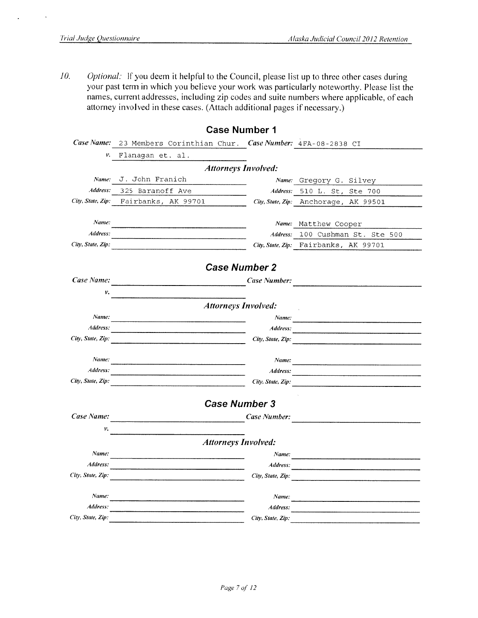10. Optional: If you deem it helpful to the Council, please list up to three other cases during your past term in which you believe your work was particularly noteworthy. Please list the names, current addresses, including zip codes and suite numbers where applicable, of each attorney involved in these cases. (Attach additional pages if necessary.)

| Flanagan et. al.                                                                                                    |                   |                                                                                                                                                                                                                                                                                                     |
|---------------------------------------------------------------------------------------------------------------------|-------------------|-----------------------------------------------------------------------------------------------------------------------------------------------------------------------------------------------------------------------------------------------------------------------------------------------------|
|                                                                                                                     |                   |                                                                                                                                                                                                                                                                                                     |
| J. John Franich                                                                                                     |                   | Name: Gregory G. Silvey                                                                                                                                                                                                                                                                             |
| 325 Baranoff Ave                                                                                                    | Address:          | 510 L. St, Ste 700                                                                                                                                                                                                                                                                                  |
| City, State, Zip: Fairbanks, AK 99701                                                                               |                   | City, State, Zip: Anchorage, AK 99501                                                                                                                                                                                                                                                               |
|                                                                                                                     |                   |                                                                                                                                                                                                                                                                                                     |
|                                                                                                                     |                   | Name: Matthew Cooper                                                                                                                                                                                                                                                                                |
|                                                                                                                     | Address:          | 100 Cushman St. Ste 500                                                                                                                                                                                                                                                                             |
|                                                                                                                     |                   | City, State, Zip: Fairbanks, AK 99701                                                                                                                                                                                                                                                               |
|                                                                                                                     |                   |                                                                                                                                                                                                                                                                                                     |
|                                                                                                                     |                   |                                                                                                                                                                                                                                                                                                     |
|                                                                                                                     |                   |                                                                                                                                                                                                                                                                                                     |
|                                                                                                                     |                   |                                                                                                                                                                                                                                                                                                     |
|                                                                                                                     |                   |                                                                                                                                                                                                                                                                                                     |
|                                                                                                                     | Name:             |                                                                                                                                                                                                                                                                                                     |
| Address:                                                                                                            | Address:          |                                                                                                                                                                                                                                                                                                     |
| .<br>Tantan tanggang pangalang panggalang pangang pangang pangang pangang pangang pangang pangang pangang pangang p | City, State, Zip: |                                                                                                                                                                                                                                                                                                     |
|                                                                                                                     |                   |                                                                                                                                                                                                                                                                                                     |
|                                                                                                                     | Name:             |                                                                                                                                                                                                                                                                                                     |
|                                                                                                                     | Address:          |                                                                                                                                                                                                                                                                                                     |
|                                                                                                                     |                   |                                                                                                                                                                                                                                                                                                     |
|                                                                                                                     |                   |                                                                                                                                                                                                                                                                                                     |
|                                                                                                                     |                   |                                                                                                                                                                                                                                                                                                     |
|                                                                                                                     |                   |                                                                                                                                                                                                                                                                                                     |
|                                                                                                                     |                   |                                                                                                                                                                                                                                                                                                     |
|                                                                                                                     |                   |                                                                                                                                                                                                                                                                                                     |
|                                                                                                                     |                   |                                                                                                                                                                                                                                                                                                     |
|                                                                                                                     |                   |                                                                                                                                                                                                                                                                                                     |
|                                                                                                                     |                   | City, State, Zip:                                                                                                                                                                                                                                                                                   |
|                                                                                                                     | Name:             |                                                                                                                                                                                                                                                                                                     |
|                                                                                                                     | Address:          |                                                                                                                                                                                                                                                                                                     |
|                                                                                                                     | City, State, Zip: |                                                                                                                                                                                                                                                                                                     |
|                                                                                                                     |                   | <b>Case number</b> i<br>23 Members Corinthian Chur. Case Number: 4FA-08-2838 CI<br><b>Attorneys Involved:</b><br><b>Case Number 2</b><br>Case Number:<br><b>Attorneys Involved:</b><br>City, State, Zip:<br><b>Case Number 3</b><br>Case Number:<br><b>Attorneys Involved:</b><br>Name:<br>Address: |

## Case Number 1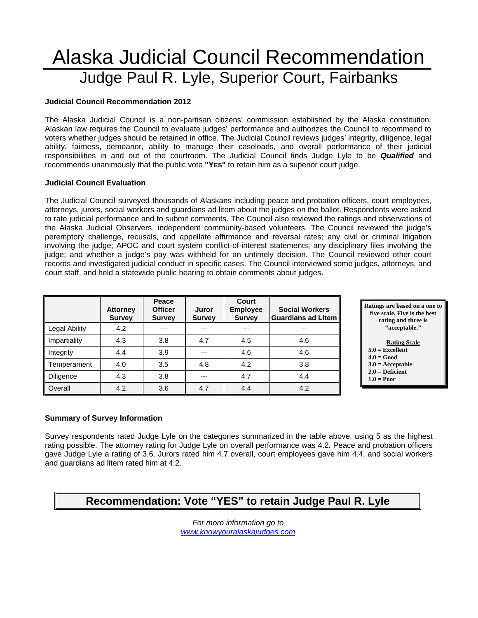## Alaska Judicial Council Recommendation Judge Paul R. Lyle, Superior Court, Fairbanks

#### **Judicial Council Recommendation 2012**

The Alaska Judicial Council is a non-partisan citizens' commission established by the Alaska constitution. Alaskan law requires the Council to evaluate judges' performance and authorizes the Council to recommend to voters whether judges should be retained in office. The Judicial Council reviews judges' integrity, diligence, legal ability, fairness, demeanor, ability to manage their caseloads, and overall performance of their judicial responsibilities in and out of the courtroom. The Judicial Council finds Judge Lyle to be *Qualified* and recommends unanimously that the public vote **"YES"** to retain him as a superior court judge.

#### **Judicial Council Evaluation**

The Judicial Council surveyed thousands of Alaskans including peace and probation officers, court employees, attorneys, jurors, social workers and guardians ad litem about the judges on the ballot. Respondents were asked to rate judicial performance and to submit comments. The Council also reviewed the ratings and observations of the Alaska Judicial Observers, independent community-based volunteers. The Council reviewed the judge's peremptory challenge, recusals, and appellate affirmance and reversal rates; any civil or criminal litigation involving the judge; APOC and court system conflict-of-interest statements; any disciplinary files involving the judge; and whether a judge's pay was withheld for an untimely decision. The Council reviewed other court records and investigated judicial conduct in specific cases. The Council interviewed some judges, attorneys, and court staff, and held a statewide public hearing to obtain comments about judges.

|                      | <b>Attorney</b><br><b>Survey</b> | Peace<br><b>Officer</b><br><b>Survey</b> | Juror<br><b>Survey</b> | Court<br><b>Employee</b><br><b>Survey</b> | <b>Social Workers</b><br><b>Guardians ad Litem</b> |
|----------------------|----------------------------------|------------------------------------------|------------------------|-------------------------------------------|----------------------------------------------------|
| <b>Legal Ability</b> | 4.2                              | ---                                      |                        |                                           | ---                                                |
| Impartiality         | 4.3                              | 3.8                                      | 4.7                    | 4.5                                       | 4.6                                                |
| Integrity            | 4.4                              | 3.9                                      |                        | 4.6                                       | 4.6                                                |
| Temperament          | 4.0                              | 3.5                                      | 4.8                    | 4.2                                       | 3.8                                                |
| Diligence            | 4.3                              | 3.8                                      |                        | 4.7                                       | 4.4                                                |
| Overall              | 4.2                              | 3.6                                      | 4.7                    | 4.4                                       | 4.2                                                |



#### **5.0 = Excellent**

- **4.0 = Good 3.0 = Acceptable**
- **2.0 = Deficient**
- **1.0 = Poor**

#### **Summary of Survey Information**

Survey respondents rated Judge Lyle on the categories summarized in the table above, using 5 as the highest rating possible. The attorney rating for Judge Lyle on overall performance was 4.2. Peace and probation officers gave Judge Lyle a rating of 3.6. Jurors rated him 4.7 overall, court employees gave him 4.4, and social workers and guardians ad litem rated him at 4.2.

## **Recommendation: Vote "YES" to retain Judge Paul R. Lyle**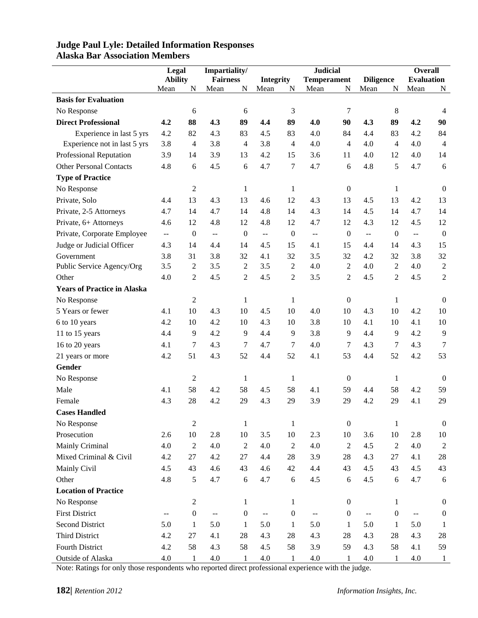|                                    | Legal                    |                  | Impartiality/                                 |                  |                                               |                  | <b>Judicial</b>                               |                  |                  |                  | <b>Overall</b>           |                  |
|------------------------------------|--------------------------|------------------|-----------------------------------------------|------------------|-----------------------------------------------|------------------|-----------------------------------------------|------------------|------------------|------------------|--------------------------|------------------|
|                                    | <b>Ability</b>           |                  | <b>Fairness</b>                               |                  | <b>Integrity</b>                              |                  | <b>Temperament</b>                            |                  | <b>Diligence</b> |                  | <b>Evaluation</b>        |                  |
|                                    | Mean                     | N                | Mean                                          | N                | Mean                                          | N                | Mean                                          | N                | Mean             | N                | Mean                     | N                |
| <b>Basis for Evaluation</b>        |                          |                  |                                               |                  |                                               |                  |                                               |                  |                  |                  |                          |                  |
| No Response                        |                          | 6                |                                               | 6                |                                               | 3                |                                               | $\overline{7}$   |                  | 8                |                          | $\overline{4}$   |
| <b>Direct Professional</b>         | 4.2                      | 88               | 4.3                                           | 89               | 4.4                                           | 89               | 4.0                                           | 90               | 4.3              | 89               | 4.2                      | 90               |
| Experience in last 5 yrs           | 4.2                      | 82               | 4.3                                           | 83               | 4.5                                           | 83               | 4.0                                           | 84               | 4.4              | 83               | 4.2                      | 84               |
| Experience not in last 5 yrs       | 3.8                      | $\overline{4}$   | 3.8                                           | 4                | 3.8                                           | $\overline{4}$   | 4.0                                           | $\overline{4}$   | 4.0              | $\overline{4}$   | 4.0                      | $\overline{4}$   |
| Professional Reputation            | 3.9                      | 14               | 3.9                                           | 13               | 4.2                                           | 15               | 3.6                                           | 11               | 4.0              | 12               | 4.0                      | 14               |
| <b>Other Personal Contacts</b>     | 4.8                      | 6                | 4.5                                           | 6                | 4.7                                           | 7                | 4.7                                           | 6                | 4.8              | 5                | 4.7                      | 6                |
| <b>Type of Practice</b>            |                          |                  |                                               |                  |                                               |                  |                                               |                  |                  |                  |                          |                  |
| No Response                        |                          | $\mathfrak{2}$   |                                               | $\mathbf{1}$     |                                               | $\mathbf{1}$     |                                               | $\boldsymbol{0}$ |                  | 1                |                          | $\overline{0}$   |
| Private, Solo                      | 4.4                      | 13               | 4.3                                           | 13               | 4.6                                           | 12               | 4.3                                           | 13               | 4.5              | 13               | 4.2                      | 13               |
| Private, 2-5 Attorneys             | 4.7                      | 14               | 4.7                                           | 14               | 4.8                                           | 14               | 4.3                                           | 14               | 4.5              | 14               | 4.7                      | 14               |
| Private, 6+ Attorneys              | 4.6                      | 12               | 4.8                                           | 12               | 4.8                                           | 12               | 4.7                                           | 12               | 4.3              | 12               | 4.5                      | 12               |
| Private, Corporate Employee        | $\overline{\phantom{a}}$ | $\boldsymbol{0}$ | $\mathord{\hspace{1pt}\text{--}\hspace{1pt}}$ | $\boldsymbol{0}$ | $\mathord{\hspace{1pt}\text{--}\hspace{1pt}}$ | $\boldsymbol{0}$ | $\overline{\phantom{a}}$                      | $\boldsymbol{0}$ | $\overline{a}$   | $\boldsymbol{0}$ | 44                       | $\boldsymbol{0}$ |
| Judge or Judicial Officer          | 4.3                      | 14               | 4.4                                           | 14               | 4.5                                           | 15               | 4.1                                           | 15               | 4.4              | 14               | 4.3                      | 15               |
| Government                         | 3.8                      | 31               | 3.8                                           | 32               | 4.1                                           | 32               | 3.5                                           | 32               | 4.2              | 32               | 3.8                      | 32               |
| Public Service Agency/Org          | 3.5                      | $\overline{2}$   | 3.5                                           | $\overline{c}$   | 3.5                                           | $\overline{2}$   | 4.0                                           | $\overline{2}$   | 4.0              | $\mathfrak{2}$   | 4.0                      | $\sqrt{2}$       |
| Other                              | 4.0                      | $\overline{2}$   | 4.5                                           | $\overline{c}$   | 4.5                                           | $\overline{c}$   | 3.5                                           | $\overline{2}$   | 4.5              | $\overline{2}$   | 4.5                      | $\overline{2}$   |
| <b>Years of Practice in Alaska</b> |                          |                  |                                               |                  |                                               |                  |                                               |                  |                  |                  |                          |                  |
| No Response                        |                          | $\mathfrak{2}$   |                                               | $\mathbf{1}$     |                                               | $\mathbf{1}$     |                                               | $\boldsymbol{0}$ |                  | 1                |                          | $\overline{0}$   |
| 5 Years or fewer                   | 4.1                      | 10               | 4.3                                           | 10               | 4.5                                           | 10               | 4.0                                           | 10               | 4.3              | 10               | 4.2                      | 10               |
| 6 to 10 years                      | 4.2                      | 10               | 4.2                                           | 10               | 4.3                                           | 10               | 3.8                                           | 10               | 4.1              | 10               | 4.1                      | 10               |
| 11 to 15 years                     | 4.4                      | 9                | 4.2                                           | 9                | 4.4                                           | 9                | 3.8                                           | 9                | 4.4              | 9                | 4.2                      | 9                |
| 16 to 20 years                     | 4.1                      | 7                | 4.3                                           | 7                | 4.7                                           | 7                | 4.0                                           | $\overline{7}$   | 4.3              | $\tau$           | 4.3                      | 7                |
| 21 years or more                   | 4.2                      | 51               | 4.3                                           | 52               | 4.4                                           | 52               | 4.1                                           | 53               | 4.4              | 52               | 4.2                      | 53               |
| Gender                             |                          |                  |                                               |                  |                                               |                  |                                               |                  |                  |                  |                          |                  |
| No Response                        |                          | $\boldsymbol{2}$ |                                               | 1                |                                               | 1                |                                               | $\boldsymbol{0}$ |                  | 1                |                          | $\overline{0}$   |
| Male                               | 4.1                      | 58               | 4.2                                           | 58               | 4.5                                           | 58               | 4.1                                           | 59               | 4.4              | 58               | 4.2                      | 59               |
| Female                             | 4.3                      | 28               | 4.2                                           | 29               | 4.3                                           | 29               | 3.9                                           | 29               | 4.2              | 29               | 4.1                      | 29               |
| <b>Cases Handled</b>               |                          |                  |                                               |                  |                                               |                  |                                               |                  |                  |                  |                          |                  |
| No Response                        |                          | $\sqrt{2}$       |                                               | $\mathbf{1}$     |                                               | $\mathbf{1}$     |                                               | $\boldsymbol{0}$ |                  | $\mathbf{1}$     |                          | $\boldsymbol{0}$ |
| Prosecution                        | 2.6                      | $10\,$           | 2.8                                           | $10\,$           | 3.5                                           | $10\,$           | 2.3                                           | $10\,$           | 3.6              | $10\,$           | 2.8                      | 10               |
| Mainly Criminal                    | 4.0                      | $\sqrt{2}$       | 4.0                                           | $\sqrt{2}$       | 4.0                                           | $\overline{2}$   | 4.0                                           | 2                | 4.5              | $\overline{2}$   | 4.0                      | $\overline{2}$   |
| Mixed Criminal & Civil             | 4.2                      | 27               | 4.2                                           | 27               | 4.4                                           | 28               | 3.9                                           | 28               | 4.3              | 27               | 4.1                      | 28               |
| Mainly Civil                       | 4.5                      | 43               | 4.6                                           | 43               | 4.6                                           | 42               | 4.4                                           | 43               | 4.5              | 43               | 4.5                      | 43               |
| Other                              | 4.8                      | 5                | 4.7                                           | $\sqrt{6}$       | 4.7                                           | 6                | 4.5                                           | 6                | 4.5              | $\sqrt{6}$       | 4.7                      | 6                |
| <b>Location of Practice</b>        |                          |                  |                                               |                  |                                               |                  |                                               |                  |                  |                  |                          |                  |
| No Response                        |                          | $\overline{c}$   |                                               | $\mathbf{1}$     |                                               | 1                |                                               | $\boldsymbol{0}$ |                  | 1                |                          | $\boldsymbol{0}$ |
| <b>First District</b>              | $\overline{\phantom{m}}$ | $\boldsymbol{0}$ | $\mathcal{L} = \mathcal{L}$                   | $\boldsymbol{0}$ | $\mathord{\hspace{1pt}\text{--}\hspace{1pt}}$ | $\boldsymbol{0}$ | $\mathord{\hspace{1pt}\text{--}\hspace{1pt}}$ | $\boldsymbol{0}$ | 44               | $\boldsymbol{0}$ | $\overline{\phantom{m}}$ | $\boldsymbol{0}$ |
| <b>Second District</b>             | 5.0                      | $\mathbf{1}$     | 5.0                                           | $\mathbf{1}$     | 5.0                                           | $\mathbf{1}$     | 5.0                                           | $\mathbf{1}$     | 5.0              | $\mathbf{1}$     | 5.0                      | 1                |
| Third District                     | 4.2                      | $27\,$           | 4.1                                           | $28\,$           | 4.3                                           | 28               | 4.3                                           | 28               | 4.3              | 28               | 4.3                      | 28               |
| Fourth District                    | 4.2                      | 58               | 4.3                                           | 58               | 4.5                                           | 58               | 3.9                                           | 59               | 4.3              | 58               | 4.1                      | 59               |
| Outside of Alaska                  | 4.0                      | $\mathbf{1}$     | 4.0                                           | $\mathbf{1}$     | 4.0                                           | $\mathbf{1}$     | $4.0\,$                                       | $\mathbf{1}$     | $4.0\,$          | $\mathbf{1}$     | 4.0                      | $\mathbf{1}$     |

## **Judge Paul Lyle: Detailed Information Responses Alaska Bar Association Members**

Note: Ratings for only those respondents who reported direct professional experience with the judge.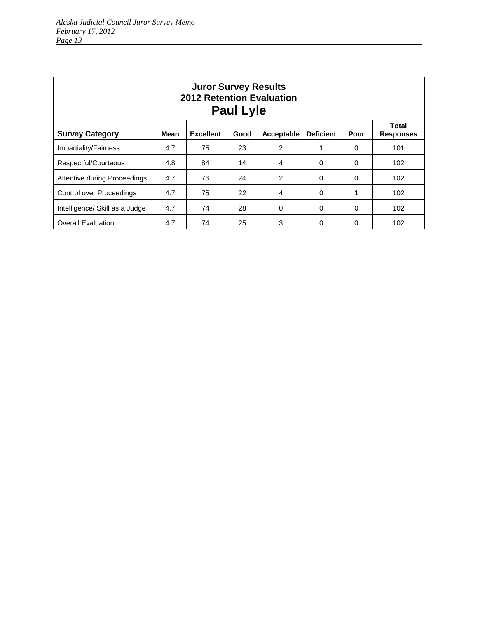| <b>Juror Survey Results</b><br><b>2012 Retention Evaluation</b><br><b>Paul Lyle</b> |      |                  |      |               |                  |          |                                  |  |  |  |
|-------------------------------------------------------------------------------------|------|------------------|------|---------------|------------------|----------|----------------------------------|--|--|--|
| <b>Survey Category</b>                                                              | Mean | <b>Excellent</b> | Good | Acceptable    | <b>Deficient</b> | Poor     | <b>Total</b><br><b>Responses</b> |  |  |  |
| Impartiality/Fairness                                                               | 4.7  | 75               | 23   | 2             |                  | 0        | 101                              |  |  |  |
| Respectful/Courteous                                                                | 4.8  | 84               | 14   | 4             | $\Omega$         | 0        | 102                              |  |  |  |
| Attentive during Proceedings                                                        | 4.7  | 76               | 24   | $\mathcal{P}$ | $\Omega$         | $\Omega$ | 102                              |  |  |  |
| Control over Proceedings                                                            | 4.7  | 75               | 22   | 4             | $\Omega$         |          | 102                              |  |  |  |
| Intelligence/ Skill as a Judge                                                      | 4.7  | 74               | 28   | $\Omega$      | $\Omega$         | $\Omega$ | 102                              |  |  |  |
| <b>Overall Evaluation</b>                                                           | 4.7  | 74               | 25   | 3             | $\Omega$         | 0        | 102                              |  |  |  |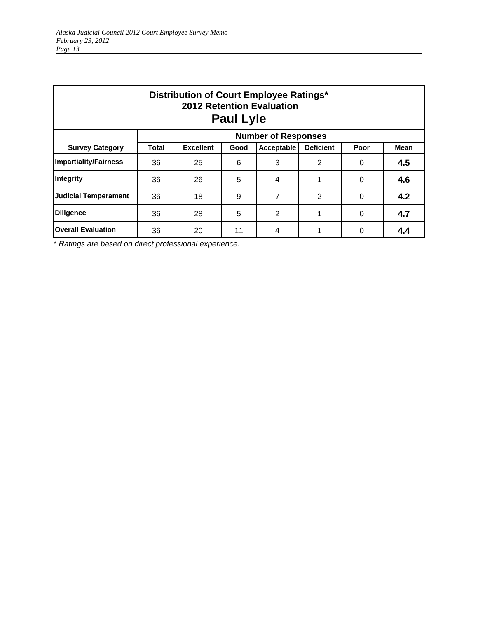| Distribution of Court Employee Ratings*<br><b>2012 Retention Evaluation</b><br><b>Paul Lyle</b> |              |                            |      |                |                  |      |             |  |  |  |  |
|-------------------------------------------------------------------------------------------------|--------------|----------------------------|------|----------------|------------------|------|-------------|--|--|--|--|
|                                                                                                 |              | <b>Number of Responses</b> |      |                |                  |      |             |  |  |  |  |
| <b>Survey Category</b>                                                                          | <b>Total</b> | <b>Excellent</b>           | Good | Acceptable     | <b>Deficient</b> | Poor | <b>Mean</b> |  |  |  |  |
| <b>Impartiality/Fairness</b>                                                                    | 36           | 25                         | 6    | 3              | 2                | 0    | 4.5         |  |  |  |  |
| Integrity                                                                                       | 36           | 26                         | 5    | 4              |                  | 0    | 4.6         |  |  |  |  |
| <b>Judicial Temperament</b>                                                                     | 36           | 18                         | 9    | 7              | 2                | 0    | 4.2         |  |  |  |  |
| <b>Diligence</b>                                                                                | 36           | 28                         | 5    | $\overline{2}$ |                  | 0    | 4.7         |  |  |  |  |
| <b>Overall Evaluation</b>                                                                       | 36           | 20                         | 11   | 4              |                  | 0    | 4.4         |  |  |  |  |

\* *Ratings are based on direct professional experience*.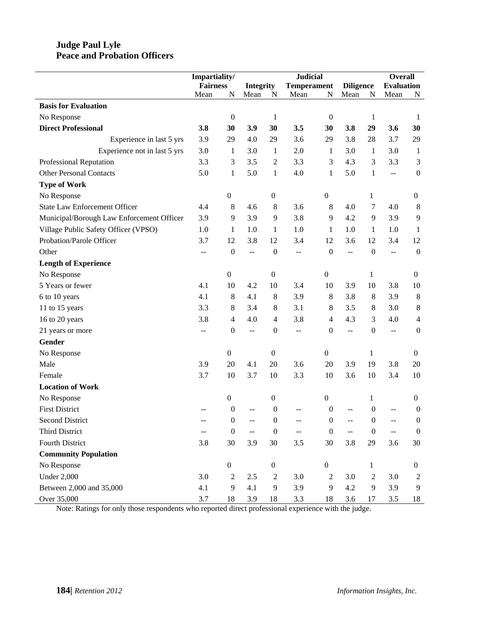## **Judge Paul Lyle Peace and Probation Officers**

|                                           | Impartiality/   |                  |                          |                  | <b>Judicial</b>    |                  |                          | <b>Overall</b>   |                   |                  |
|-------------------------------------------|-----------------|------------------|--------------------------|------------------|--------------------|------------------|--------------------------|------------------|-------------------|------------------|
|                                           | <b>Fairness</b> |                  | <b>Integrity</b>         |                  | <b>Temperament</b> |                  | <b>Diligence</b>         |                  | <b>Evaluation</b> |                  |
|                                           | Mean            | N                | Mean                     | N                | Mean               | N                | Mean                     | $\mathbf N$      | Mean              | N                |
| <b>Basis for Evaluation</b>               |                 |                  |                          |                  |                    |                  |                          |                  |                   |                  |
| No Response                               |                 | $\boldsymbol{0}$ |                          | $\mathbf{1}$     |                    | $\boldsymbol{0}$ |                          | 1                |                   | 1                |
| <b>Direct Professional</b>                | 3.8             | 30               | 3.9                      | 30               | 3.5                | 30               | 3.8                      | 29               | 3.6               | 30               |
| Experience in last 5 yrs                  | 3.9             | 29               | 4.0                      | 29               | 3.6                | 29               | 3.8                      | 28               | 3.7               | 29               |
| Experience not in last 5 yrs              | 3.0             | 1                | 3.0                      | $\mathbf{1}$     | 2.0                | 1                | 3.0                      | 1                | 3.0               | -1               |
| Professional Reputation                   | 3.3             | 3                | 3.5                      | $\overline{2}$   | 3.3                | 3                | 4.3                      | 3                | 3.3               | 3                |
| <b>Other Personal Contacts</b>            | 5.0             | $\mathbf{1}$     | 5.0                      | $\mathbf{1}$     | 4.0                | $\mathbf{1}$     | 5.0                      | $\mathbf{1}$     | $\overline{a}$    | $\boldsymbol{0}$ |
| <b>Type of Work</b>                       |                 |                  |                          |                  |                    |                  |                          |                  |                   |                  |
| No Response                               |                 | $\boldsymbol{0}$ |                          | $\boldsymbol{0}$ |                    | $\boldsymbol{0}$ |                          | 1                |                   | $\boldsymbol{0}$ |
| <b>State Law Enforcement Officer</b>      | 4.4             | 8                | 4.6                      | 8                | 3.6                | 8                | 4.0                      | 7                | 4.0               | $8\phantom{1}$   |
| Municipal/Borough Law Enforcement Officer | 3.9             | 9                | 3.9                      | 9                | 3.8                | 9                | 4.2                      | 9                | 3.9               | 9                |
| Village Public Safety Officer (VPSO)      | 1.0             | $\mathbf{1}$     | 1.0                      | $\mathbf{1}$     | 1.0                | $\mathbf{1}$     | 1.0                      | $\mathbf{1}$     | 1.0               | 1                |
| Probation/Parole Officer                  | 3.7             | 12               | 3.8                      | 12               | 3.4                | 12               | 3.6                      | 12               | 3.4               | 12               |
| Other                                     | $- -$           | $\boldsymbol{0}$ | $\overline{\phantom{m}}$ | $\boldsymbol{0}$ | --                 | $\mathbf{0}$     | $\overline{\phantom{a}}$ | $\mathbf{0}$     | $\overline{a}$    | $\boldsymbol{0}$ |
| <b>Length of Experience</b>               |                 |                  |                          |                  |                    |                  |                          |                  |                   |                  |
| No Response                               |                 | $\boldsymbol{0}$ |                          | $\boldsymbol{0}$ |                    | $\boldsymbol{0}$ |                          | 1                |                   | $\boldsymbol{0}$ |
| 5 Years or fewer                          | 4.1             | 10               | 4.2                      | 10               | 3.4                | 10               | 3.9                      | 10               | 3.8               | 10               |
| 6 to 10 years                             | 4.1             | 8                | 4.1                      | $\,8\,$          | 3.9                | 8                | 3.8                      | 8                | 3.9               | 8                |
| 11 to 15 years                            | 3.3             | 8                | 3.4                      | $\,8\,$          | 3.1                | 8                | 3.5                      | 8                | 3.0               | $8\phantom{1}$   |
| 16 to 20 years                            | 3.8             | $\overline{4}$   | 4.0                      | $\overline{4}$   | 3.8                | 4                | 4.3                      | 3                | 4.0               | $\overline{4}$   |
| 21 years or more                          |                 | $\boldsymbol{0}$ | $\overline{a}$           | $\boldsymbol{0}$ | --                 | $\boldsymbol{0}$ | $\overline{a}$           | $\boldsymbol{0}$ | $\overline{a}$    | $\boldsymbol{0}$ |
| Gender                                    |                 |                  |                          |                  |                    |                  |                          |                  |                   |                  |
| No Response                               |                 | $\boldsymbol{0}$ |                          | $\boldsymbol{0}$ |                    | $\boldsymbol{0}$ |                          | 1                |                   | $\mathbf{0}$     |
| Male                                      | 3.9             | 20               | 4.1                      | 20               | 3.6                | 20               | 3.9                      | 19               | 3.8               | 20               |
| Female                                    | 3.7             | 10               | 3.7                      | 10               | 3.3                | 10               | 3.6                      | 10               | 3.4               | 10               |
| <b>Location of Work</b>                   |                 |                  |                          |                  |                    |                  |                          |                  |                   |                  |
| No Response                               |                 | $\boldsymbol{0}$ |                          | $\boldsymbol{0}$ |                    | $\boldsymbol{0}$ |                          | $\mathbf{1}$     |                   | $\boldsymbol{0}$ |
| <b>First District</b>                     |                 | $\boldsymbol{0}$ |                          | $\boldsymbol{0}$ |                    | $\boldsymbol{0}$ |                          | $\theta$         |                   | $\theta$         |
| <b>Second District</b>                    |                 | 0                |                          | 0                |                    | $\boldsymbol{0}$ |                          | $\boldsymbol{0}$ |                   | $\boldsymbol{0}$ |
| <b>Third District</b>                     |                 | $\boldsymbol{0}$ | $-$                      | $\boldsymbol{0}$ | --                 | $\boldsymbol{0}$ |                          | $\boldsymbol{0}$ | $\overline{a}$    | $\boldsymbol{0}$ |
| Fourth District                           | 3.8             | 30               | 3.9                      | 30               | 3.5                | 30               | 3.8                      | 29               | 3.6               | 30               |
| <b>Community Population</b>               |                 |                  |                          |                  |                    |                  |                          |                  |                   |                  |
| No Response                               |                 | $\boldsymbol{0}$ |                          | $\boldsymbol{0}$ |                    | $\boldsymbol{0}$ |                          | 1                |                   | $\boldsymbol{0}$ |
| <b>Under 2,000</b>                        | 3.0             | $\overline{c}$   | 2.5                      | $\sqrt{2}$       | 3.0                | 2                | 3.0                      | 2                | 3.0               | 2                |
| Between 2,000 and 35,000                  | 4.1             | 9                | 4.1                      | 9                | 3.9                | 9                | 4.2                      | 9                | 3.9               | 9                |
| Over 35,000                               | 3.7             | 18               | 3.9                      | 18               | 3.3                | 18               | 3.6                      | 17               | 3.5               | 18               |

Note: Ratings for only those respondents who reported direct professional experience with the judge.